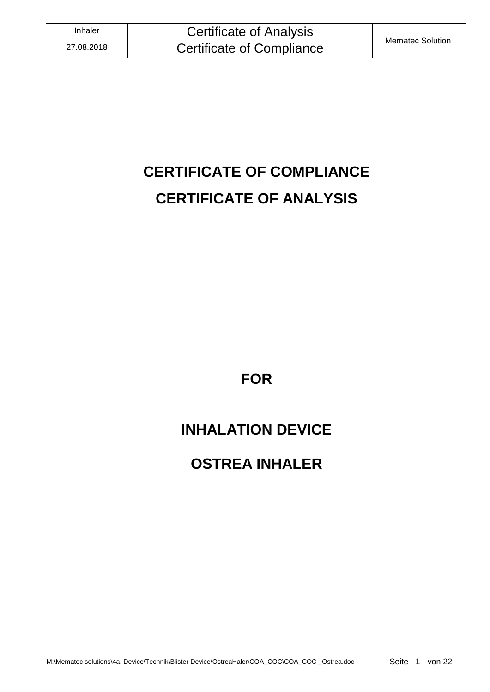# **CERTIFICATE OF COMPLIANCE CERTIFICATE OF ANALYSIS**

**FOR**

# **INHALATION DEVICE**

# **OSTREA INHALER**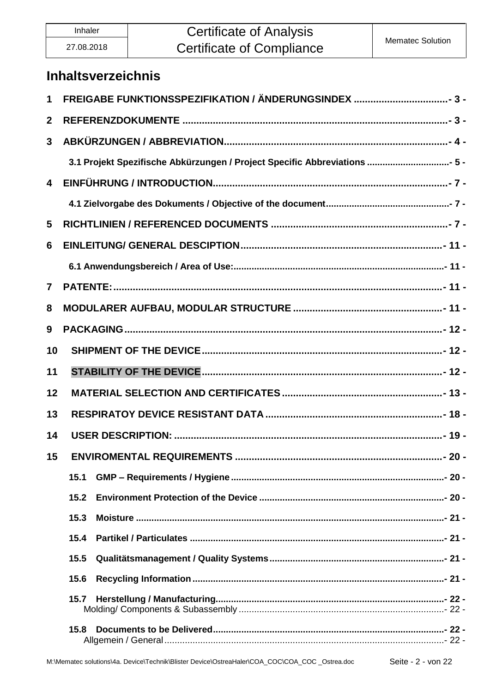## **Certificate of Analysis Certificate of Compliance**

### **Inhaltsverzeichnis**

| 1                       |                                                                           |  |  |
|-------------------------|---------------------------------------------------------------------------|--|--|
| $\mathbf{2}$            |                                                                           |  |  |
| $\mathbf{3}$            |                                                                           |  |  |
|                         | 3.1 Projekt Spezifische Abkürzungen / Project Specific Abbreviations  5 - |  |  |
| $\overline{\mathbf{4}}$ |                                                                           |  |  |
|                         |                                                                           |  |  |
| 5                       |                                                                           |  |  |
| 6                       |                                                                           |  |  |
|                         |                                                                           |  |  |
| $\mathbf{7}$            |                                                                           |  |  |
| 8                       |                                                                           |  |  |
| 9                       |                                                                           |  |  |
| 10                      |                                                                           |  |  |
| 11                      |                                                                           |  |  |
| 12                      |                                                                           |  |  |
| 13                      |                                                                           |  |  |
| 14                      |                                                                           |  |  |
| 15                      | <b>ENVIROMENTAL REQUIREMENTS</b>                                          |  |  |
|                         | 15.1                                                                      |  |  |
|                         | 15.2                                                                      |  |  |
|                         | 15.3                                                                      |  |  |
|                         |                                                                           |  |  |
|                         | 15.5                                                                      |  |  |
|                         | 15.6                                                                      |  |  |
|                         |                                                                           |  |  |
|                         | 15.8                                                                      |  |  |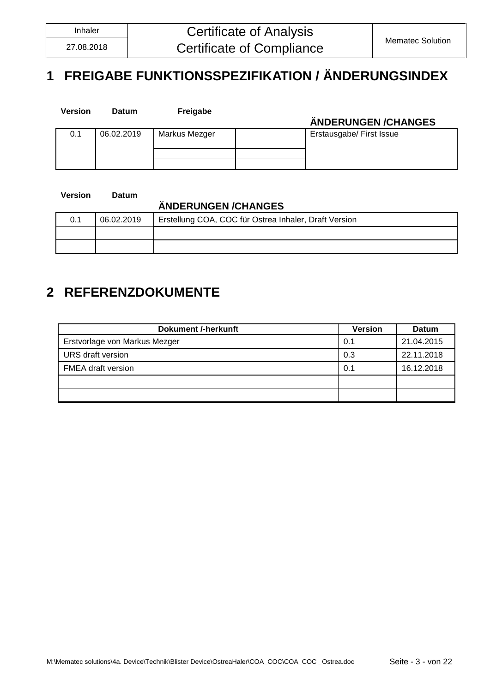# <span id="page-2-0"></span>**1 FREIGABE FUNKTIONSSPEZIFIKATION / ÄNDERUNGSINDEX**

| <b>Version</b> | <b>Datum</b> | Freigabe      | ÄNDERUNGEN / CHANGES     |
|----------------|--------------|---------------|--------------------------|
| 0.1            | 06.02.2019   | Markus Mezger | Erstausgabe/ First Issue |
|                |              |               |                          |

**Version Datum**

### **ÄNDERUNGEN /CHANGES**

| 06.02.2019 | Erstellung COA, COC für Ostrea Inhaler, Draft Version |  |
|------------|-------------------------------------------------------|--|
|            |                                                       |  |
|            |                                                       |  |

### <span id="page-2-1"></span>**2 REFERENZDOKUMENTE**

| <b>Dokument /-herkunft</b>    | <b>Version</b> | <b>Datum</b> |
|-------------------------------|----------------|--------------|
| Erstvorlage von Markus Mezger | 0.1            | 21.04.2015   |
| URS draft version             | 0.3            | 22.11.2018   |
| <b>FMEA</b> draft version     | 0.1            | 16.12.2018   |
|                               |                |              |
|                               |                |              |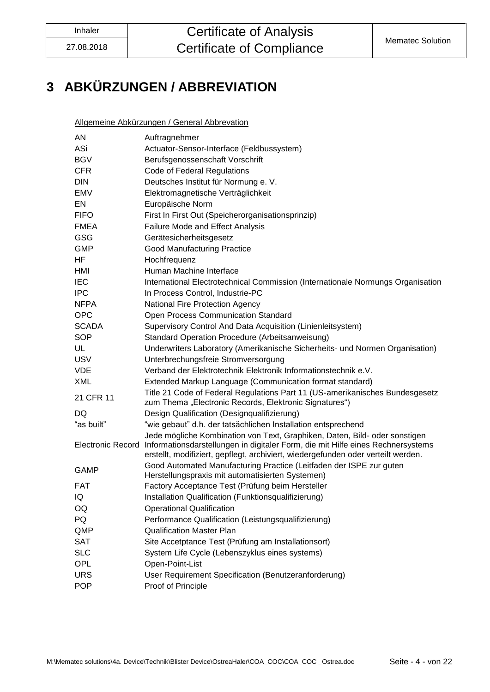# <span id="page-3-0"></span>**3 ABKÜRZUNGEN / ABBREVIATION**

Allgemeine Abkürzungen / General Abbrevation

| Auftragnehmer                                                                                                                                                                                                                                                        |
|----------------------------------------------------------------------------------------------------------------------------------------------------------------------------------------------------------------------------------------------------------------------|
| Actuator-Sensor-Interface (Feldbussystem)                                                                                                                                                                                                                            |
| Berufsgenossenschaft Vorschrift                                                                                                                                                                                                                                      |
| Code of Federal Regulations                                                                                                                                                                                                                                          |
| Deutsches Institut für Normung e. V.                                                                                                                                                                                                                                 |
| Elektromagnetische Verträglichkeit                                                                                                                                                                                                                                   |
| Europäische Norm                                                                                                                                                                                                                                                     |
| First In First Out (Speicherorganisationsprinzip)                                                                                                                                                                                                                    |
| Failure Mode and Effect Analysis                                                                                                                                                                                                                                     |
| Gerätesicherheitsgesetz                                                                                                                                                                                                                                              |
| <b>Good Manufacturing Practice</b>                                                                                                                                                                                                                                   |
| Hochfrequenz                                                                                                                                                                                                                                                         |
| Human Machine Interface                                                                                                                                                                                                                                              |
| International Electrotechnical Commission (Internationale Normungs Organisation                                                                                                                                                                                      |
| In Process Control, Industrie-PC                                                                                                                                                                                                                                     |
| National Fire Protection Agency                                                                                                                                                                                                                                      |
| Open Process Communication Standard                                                                                                                                                                                                                                  |
| Supervisory Control And Data Acquisition (Linienleitsystem)                                                                                                                                                                                                          |
| Standard Operation Procedure (Arbeitsanweisung)                                                                                                                                                                                                                      |
| Underwriters Laboratory (Amerikanische Sicherheits- und Normen Organisation)                                                                                                                                                                                         |
| Unterbrechungsfreie Stromversorgung                                                                                                                                                                                                                                  |
| Verband der Elektrotechnik Elektronik Informationstechnik e.V.                                                                                                                                                                                                       |
| Extended Markup Language (Communication format standard)                                                                                                                                                                                                             |
| Title 21 Code of Federal Regulations Part 11 (US-amerikanisches Bundesgesetz<br>zum Thema "Electronic Records, Elektronic Signatures")                                                                                                                               |
| Design Qualification (Designqualifizierung)                                                                                                                                                                                                                          |
| "wie gebaut" d.h. der tatsächlichen Installation entsprechend                                                                                                                                                                                                        |
| Jede mögliche Kombination von Text, Graphiken, Daten, Bild- oder sonstigen<br>Electronic Record Informationsdarstellungen in digitaler Form, die mit Hilfe eines Rechnersystems<br>erstellt, modifiziert, gepflegt, archiviert, wiedergefunden oder verteilt werden. |
| Good Automated Manufacturing Practice (Leitfaden der ISPE zur guten<br>Herstellungspraxis mit automatisierten Systemen)                                                                                                                                              |
| Factory Acceptance Test (Prüfung beim Hersteller                                                                                                                                                                                                                     |
| Installation Qualification (Funktionsqualifizierung)                                                                                                                                                                                                                 |
| <b>Operational Qualification</b>                                                                                                                                                                                                                                     |
| Performance Qualification (Leistungsqualifizierung)                                                                                                                                                                                                                  |
| <b>Qualification Master Plan</b>                                                                                                                                                                                                                                     |
| Site Accetptance Test (Prüfung am Installationsort)                                                                                                                                                                                                                  |
| System Life Cycle (Lebenszyklus eines systems)                                                                                                                                                                                                                       |
| Open-Point-List                                                                                                                                                                                                                                                      |
| User Requirement Specification (Benutzeranforderung)                                                                                                                                                                                                                 |
| Proof of Principle                                                                                                                                                                                                                                                   |
|                                                                                                                                                                                                                                                                      |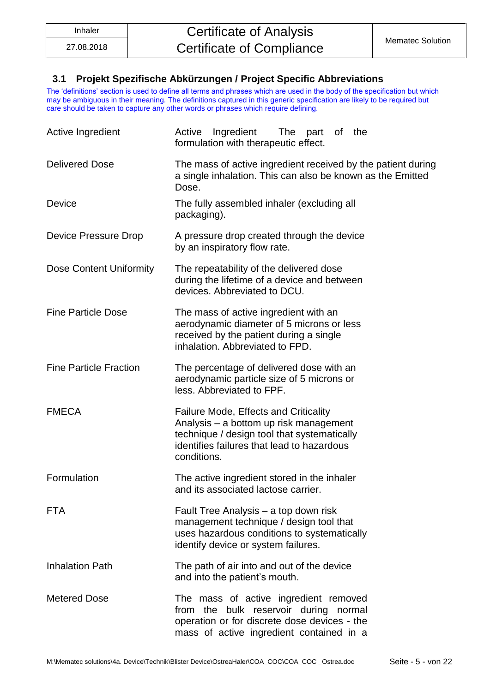#### <span id="page-4-0"></span>**3.1 Projekt Spezifische Abkürzungen / Project Specific Abbreviations**

The 'definitions' section is used to define all terms and phrases which are used in the body of the specification but which may be ambiguous in their meaning. The definitions captured in this generic specification are likely to be required but care should be taken to capture any other words or phrases which require defining.

| Active Ingredient                                                                                                                                                                                                  | Ingredient<br>Active<br>The part of<br>the<br>formulation with therapeutic effect.                                                                                         |  |  |
|--------------------------------------------------------------------------------------------------------------------------------------------------------------------------------------------------------------------|----------------------------------------------------------------------------------------------------------------------------------------------------------------------------|--|--|
| <b>Delivered Dose</b>                                                                                                                                                                                              | The mass of active ingredient received by the patient during<br>a single inhalation. This can also be known as the Emitted<br>Dose.                                        |  |  |
| Device                                                                                                                                                                                                             | The fully assembled inhaler (excluding all<br>packaging).                                                                                                                  |  |  |
| Device Pressure Drop                                                                                                                                                                                               | A pressure drop created through the device<br>by an inspiratory flow rate.                                                                                                 |  |  |
| Dose Content Uniformity<br>The repeatability of the delivered dose<br>during the lifetime of a device and between<br>devices. Abbreviated to DCU.                                                                  |                                                                                                                                                                            |  |  |
| <b>Fine Particle Dose</b>                                                                                                                                                                                          | The mass of active ingredient with an<br>aerodynamic diameter of 5 microns or less<br>received by the patient during a single<br>inhalation. Abbreviated to FPD.           |  |  |
| <b>Fine Particle Fraction</b>                                                                                                                                                                                      | The percentage of delivered dose with an<br>aerodynamic particle size of 5 microns or<br>less. Abbreviated to FPF.                                                         |  |  |
| <b>FMECA</b><br><b>Failure Mode, Effects and Criticality</b><br>Analysis - a bottom up risk management<br>technique / design tool that systematically<br>identifies failures that lead to hazardous<br>conditions. |                                                                                                                                                                            |  |  |
| Formulation                                                                                                                                                                                                        | The active ingredient stored in the inhaler<br>and its associated lactose carrier.                                                                                         |  |  |
| <b>FTA</b>                                                                                                                                                                                                         | Fault Tree Analysis – a top down risk<br>management technique / design tool that<br>uses hazardous conditions to systematically<br>identify device or system failures.     |  |  |
| <b>Inhalation Path</b>                                                                                                                                                                                             | The path of air into and out of the device<br>and into the patient's mouth.                                                                                                |  |  |
| <b>Metered Dose</b>                                                                                                                                                                                                | The mass of active ingredient removed<br>from the bulk reservoir during normal<br>operation or for discrete dose devices - the<br>mass of active ingredient contained in a |  |  |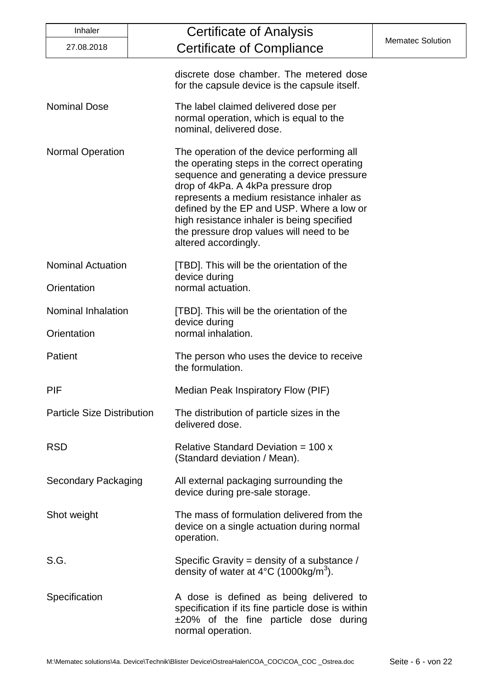| Inhaler                                                                                                            | Certificate of Analysis                                                                                                                                                                                                                                                                                                                                                                   |                         |
|--------------------------------------------------------------------------------------------------------------------|-------------------------------------------------------------------------------------------------------------------------------------------------------------------------------------------------------------------------------------------------------------------------------------------------------------------------------------------------------------------------------------------|-------------------------|
| 27.08.2018                                                                                                         | Certificate of Compliance                                                                                                                                                                                                                                                                                                                                                                 | <b>Mematec Solution</b> |
|                                                                                                                    | discrete dose chamber. The metered dose<br>for the capsule device is the capsule itself.                                                                                                                                                                                                                                                                                                  |                         |
| <b>Nominal Dose</b>                                                                                                | The label claimed delivered dose per<br>normal operation, which is equal to the<br>nominal, delivered dose.                                                                                                                                                                                                                                                                               |                         |
| <b>Normal Operation</b>                                                                                            | The operation of the device performing all<br>the operating steps in the correct operating<br>sequence and generating a device pressure<br>drop of 4kPa. A 4kPa pressure drop<br>represents a medium resistance inhaler as<br>defined by the EP and USP. Where a low or<br>high resistance inhaler is being specified<br>the pressure drop values will need to be<br>altered accordingly. |                         |
| <b>Nominal Actuation</b>                                                                                           | [TBD]. This will be the orientation of the<br>device during                                                                                                                                                                                                                                                                                                                               |                         |
| Orientation                                                                                                        | normal actuation.                                                                                                                                                                                                                                                                                                                                                                         |                         |
| Nominal Inhalation                                                                                                 | [TBD]. This will be the orientation of the<br>device during                                                                                                                                                                                                                                                                                                                               |                         |
| Orientation                                                                                                        | normal inhalation.                                                                                                                                                                                                                                                                                                                                                                        |                         |
| <b>Patient</b>                                                                                                     | The person who uses the device to receive<br>the formulation.                                                                                                                                                                                                                                                                                                                             |                         |
| PIF                                                                                                                | Median Peak Inspiratory Flow (PIF)                                                                                                                                                                                                                                                                                                                                                        |                         |
| <b>Particle Size Distribution</b>                                                                                  | The distribution of particle sizes in the<br>delivered dose.                                                                                                                                                                                                                                                                                                                              |                         |
| <b>RSD</b>                                                                                                         | Relative Standard Deviation = $100x$<br>(Standard deviation / Mean).                                                                                                                                                                                                                                                                                                                      |                         |
| <b>Secondary Packaging</b>                                                                                         | All external packaging surrounding the<br>device during pre-sale storage.                                                                                                                                                                                                                                                                                                                 |                         |
| Shot weight                                                                                                        | The mass of formulation delivered from the<br>device on a single actuation during normal<br>operation.                                                                                                                                                                                                                                                                                    |                         |
| S.G.<br>Specific Gravity = density of a substance /<br>density of water at $4^{\circ}$ C (1000kg/m <sup>3</sup> ). |                                                                                                                                                                                                                                                                                                                                                                                           |                         |
| Specification                                                                                                      | A dose is defined as being delivered to<br>specification if its fine particle dose is within<br>$±20\%$ of the fine particle dose during<br>normal operation.                                                                                                                                                                                                                             |                         |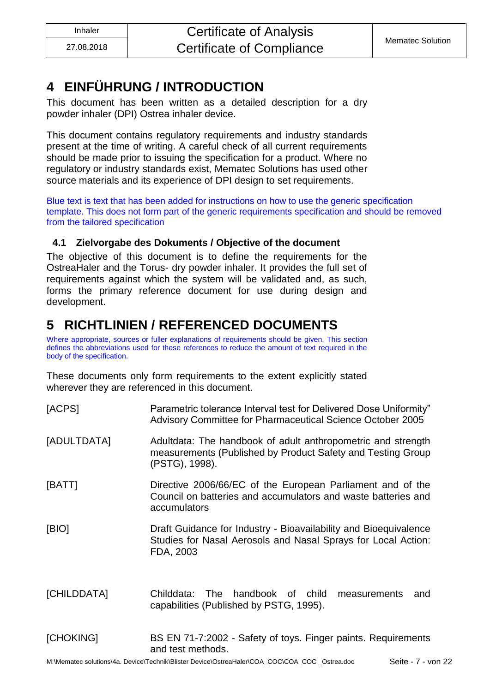### <span id="page-6-0"></span>**4 EINFÜHRUNG / INTRODUCTION**

This document has been written as a detailed description for a dry powder inhaler (DPI) Ostrea inhaler device.

This document contains regulatory requirements and industry standards present at the time of writing. A careful check of all current requirements should be made prior to issuing the specification for a product. Where no regulatory or industry standards exist, Mematec Solutions has used other source materials and its experience of DPI design to set requirements.

Blue text is text that has been added for instructions on how to use the generic specification template. This does not form part of the generic requirements specification and should be removed from the tailored specification

### <span id="page-6-1"></span>**4.1 Zielvorgabe des Dokuments / Objective of the document**

The objective of this document is to define the requirements for the OstreaHaler and the Torus- dry powder inhaler. It provides the full set of requirements against which the system will be validated and, as such, forms the primary reference document for use during design and development.

### <span id="page-6-2"></span>**5 RICHTLINIEN / REFERENCED DOCUMENTS**

Where appropriate, sources or fuller explanations of requirements should be given. This section defines the abbreviations used for these references to reduce the amount of text required in the body of the specification.

These documents only form requirements to the extent explicitly stated wherever they are referenced in this document.

| [ACPS]      | Parametric tolerance Interval test for Delivered Dose Uniformity"<br>Advisory Committee for Pharmaceutical Science October 2005                |  |
|-------------|------------------------------------------------------------------------------------------------------------------------------------------------|--|
| [ADULTDATA] | Adultdata: The handbook of adult anthropometric and strength<br>measurements (Published by Product Safety and Testing Group<br>(PSTG), 1998).  |  |
| [BATT]      | Directive 2006/66/EC of the European Parliament and of the<br>Council on batteries and accumulators and waste batteries and<br>accumulators    |  |
| [BIO]       | Draft Guidance for Industry - Bioavailability and Bioequivalence<br>Studies for Nasal Aerosols and Nasal Sprays for Local Action:<br>FDA, 2003 |  |
| [CHILDDATA] | handbook of<br>Childdata:<br>The<br>child<br>measurements<br>and<br>capabilities (Published by PSTG, 1995).                                    |  |
| [CHOKING]   | BS EN 71-7:2002 - Safety of toys. Finger paints. Requirements                                                                                  |  |

# and test methods.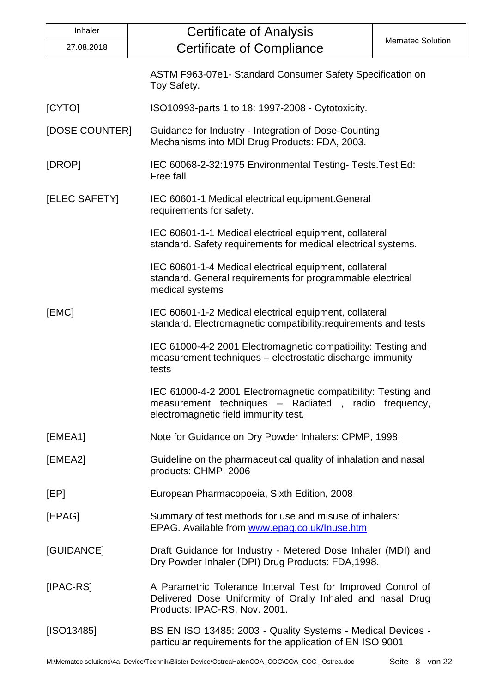| Inhaler                                                                                                                                  | <b>Certificate of Analysis</b>                                                                                                                               |                         |  |
|------------------------------------------------------------------------------------------------------------------------------------------|--------------------------------------------------------------------------------------------------------------------------------------------------------------|-------------------------|--|
| 27.08.2018                                                                                                                               | <b>Certificate of Compliance</b>                                                                                                                             | <b>Mematec Solution</b> |  |
|                                                                                                                                          | ASTM F963-07e1- Standard Consumer Safety Specification on<br>Toy Safety.                                                                                     |                         |  |
| [CYTO]                                                                                                                                   | ISO10993-parts 1 to 18: 1997-2008 - Cytotoxicity.                                                                                                            |                         |  |
| [DOSE COUNTER]                                                                                                                           | Guidance for Industry - Integration of Dose-Counting<br>Mechanisms into MDI Drug Products: FDA, 2003.                                                        |                         |  |
| [DROP]                                                                                                                                   | IEC 60068-2-32:1975 Environmental Testing-Tests. Test Ed:<br>Free fall                                                                                       |                         |  |
| [ELEC SAFETY]                                                                                                                            | IEC 60601-1 Medical electrical equipment. General<br>requirements for safety.                                                                                |                         |  |
|                                                                                                                                          | IEC 60601-1-1 Medical electrical equipment, collateral<br>standard. Safety requirements for medical electrical systems.                                      |                         |  |
|                                                                                                                                          | IEC 60601-1-4 Medical electrical equipment, collateral<br>standard. General requirements for programmable electrical<br>medical systems                      |                         |  |
| [EMC]                                                                                                                                    | IEC 60601-1-2 Medical electrical equipment, collateral<br>standard. Electromagnetic compatibility: requirements and tests                                    |                         |  |
|                                                                                                                                          | IEC 61000-4-2 2001 Electromagnetic compatibility: Testing and<br>measurement techniques - electrostatic discharge immunity<br>tests                          |                         |  |
|                                                                                                                                          | IEC 61000-4-2 2001 Electromagnetic compatibility: Testing and<br>measurement techniques - Radiated, radio frequency,<br>electromagnetic field immunity test. |                         |  |
| [EMEA1]                                                                                                                                  | Note for Guidance on Dry Powder Inhalers: CPMP, 1998.                                                                                                        |                         |  |
| [EMEA2]                                                                                                                                  | Guideline on the pharmaceutical quality of inhalation and nasal<br>products: CHMP, 2006                                                                      |                         |  |
| [EP]                                                                                                                                     | European Pharmacopoeia, Sixth Edition, 2008                                                                                                                  |                         |  |
| [EPAG]                                                                                                                                   | Summary of test methods for use and misuse of inhalers:<br>EPAG. Available from www.epag.co.uk/Inuse.htm                                                     |                         |  |
| [GUIDANCE]                                                                                                                               | Draft Guidance for Industry - Metered Dose Inhaler (MDI) and<br>Dry Powder Inhaler (DPI) Drug Products: FDA, 1998.                                           |                         |  |
| $[IPAC-RS]$                                                                                                                              | A Parametric Tolerance Interval Test for Improved Control of<br>Delivered Dose Uniformity of Orally Inhaled and nasal Drug<br>Products: IPAC-RS, Nov. 2001.  |                         |  |
| [ SO13485]<br>BS EN ISO 13485: 2003 - Quality Systems - Medical Devices -<br>particular requirements for the application of EN ISO 9001. |                                                                                                                                                              |                         |  |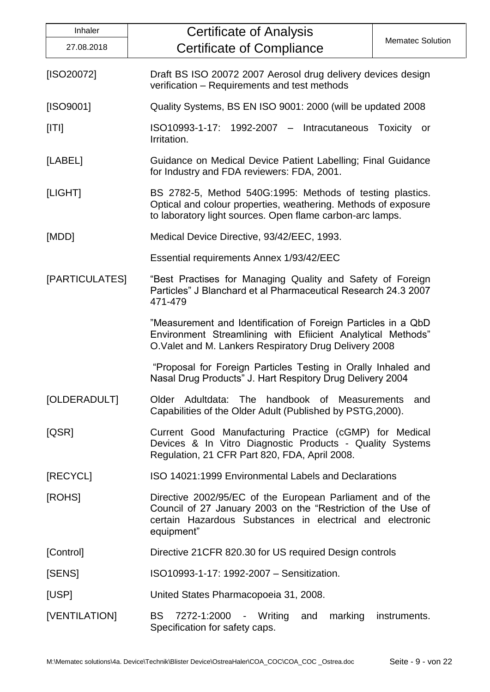| Inhaler                                                                                                                                                                      | <b>Certificate of Analysis</b>                                                                                                                                                                        |  |  |
|------------------------------------------------------------------------------------------------------------------------------------------------------------------------------|-------------------------------------------------------------------------------------------------------------------------------------------------------------------------------------------------------|--|--|
| 27.08.2018                                                                                                                                                                   | <b>Mematec Solution</b><br><b>Certificate of Compliance</b>                                                                                                                                           |  |  |
| [ISO20072]                                                                                                                                                                   | Draft BS ISO 20072 2007 Aerosol drug delivery devices design<br>verification - Requirements and test methods                                                                                          |  |  |
| [ISO9001]                                                                                                                                                                    | Quality Systems, BS EN ISO 9001: 2000 (will be updated 2008)                                                                                                                                          |  |  |
| [ T ]                                                                                                                                                                        | ISO10993-1-17: 1992-2007 - Intracutaneous<br>Toxicity or<br>Irritation.                                                                                                                               |  |  |
| [LABEL]                                                                                                                                                                      | Guidance on Medical Device Patient Labelling; Final Guidance<br>for Industry and FDA reviewers: FDA, 2001.                                                                                            |  |  |
| [LIGHT]                                                                                                                                                                      | BS 2782-5, Method 540G:1995: Methods of testing plastics.<br>Optical and colour properties, weathering. Methods of exposure<br>to laboratory light sources. Open flame carbon-arc lamps.              |  |  |
| [MDD]                                                                                                                                                                        | Medical Device Directive, 93/42/EEC, 1993.                                                                                                                                                            |  |  |
|                                                                                                                                                                              | Essential requirements Annex 1/93/42/EEC                                                                                                                                                              |  |  |
| [PARTICULATES]                                                                                                                                                               | "Best Practises for Managing Quality and Safety of Foreign<br>Particles" J Blanchard et al Pharmaceutical Research 24.3 2007<br>471-479                                                               |  |  |
|                                                                                                                                                                              | "Measurement and Identification of Foreign Particles in a QbD<br>Environment Streamlining with Efiicient Analytical Methods"<br>O. Valet and M. Lankers Respiratory Drug Delivery 2008                |  |  |
|                                                                                                                                                                              | "Proposal for Foreign Particles Testing in Orally Inhaled and<br>Nasal Drug Products" J. Hart Respitory Drug Delivery 2004                                                                            |  |  |
| [OLDERADULT]                                                                                                                                                                 | Older Adultdata: The handbook of Measurements and<br>Capabilities of the Older Adult (Published by PSTG, 2000).                                                                                       |  |  |
| [QSR]<br>Current Good Manufacturing Practice (cGMP) for Medical<br>Devices & In Vitro Diagnostic Products - Quality Systems<br>Regulation, 21 CFR Part 820, FDA, April 2008. |                                                                                                                                                                                                       |  |  |
| [RECYCL]                                                                                                                                                                     | ISO 14021:1999 Environmental Labels and Declarations                                                                                                                                                  |  |  |
| [ROHS]                                                                                                                                                                       | Directive 2002/95/EC of the European Parliament and of the<br>Council of 27 January 2003 on the "Restriction of the Use of<br>certain Hazardous Substances in electrical and electronic<br>equipment" |  |  |
| [Control]                                                                                                                                                                    | Directive 21 CFR 820.30 for US required Design controls                                                                                                                                               |  |  |
| [SENS]                                                                                                                                                                       | ISO10993-1-17: 1992-2007 - Sensitization.                                                                                                                                                             |  |  |
| [USP]                                                                                                                                                                        | United States Pharmacopoeia 31, 2008.                                                                                                                                                                 |  |  |
| [VENTILATION]                                                                                                                                                                | BS 7272-1:2000 - Writing and<br>marking<br>instruments.<br>Specification for safety caps.                                                                                                             |  |  |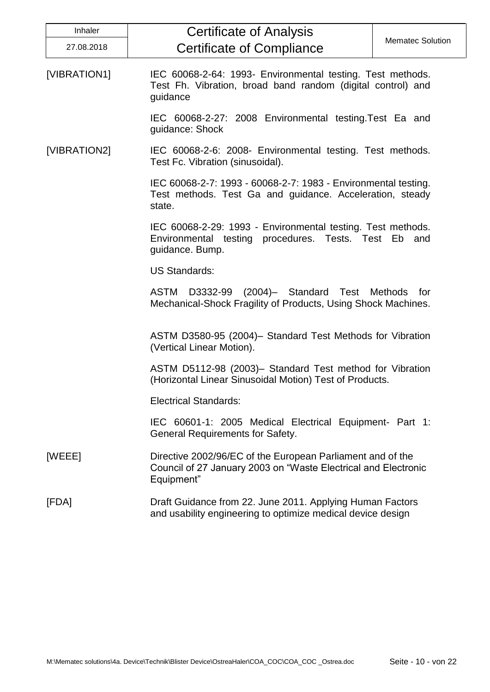| Inhaler      | <b>Certificate of Analysis</b>                                                                                                             |                         |
|--------------|--------------------------------------------------------------------------------------------------------------------------------------------|-------------------------|
| 27.08.2018   | <b>Certificate of Compliance</b>                                                                                                           | <b>Mematec Solution</b> |
| [VIBRATION1] | IEC 60068-2-64: 1993- Environmental testing. Test methods.<br>Test Fh. Vibration, broad band random (digital control) and<br>guidance      |                         |
|              | IEC 60068-2-27: 2008 Environmental testing. Test Ea and<br>guidance: Shock                                                                 |                         |
| [VIBRATION2] | IEC 60068-2-6: 2008- Environmental testing. Test methods.<br>Test Fc. Vibration (sinusoidal).                                              |                         |
|              | IEC 60068-2-7: 1993 - 60068-2-7: 1983 - Environmental testing.<br>Test methods. Test Ga and guidance. Acceleration, steady<br>state.       |                         |
|              | IEC 60068-2-29: 1993 - Environmental testing. Test methods.<br>Environmental testing procedures. Tests. Test Eb and<br>guidance. Bump.     |                         |
|              | <b>US Standards:</b>                                                                                                                       |                         |
|              | D3332-99 (2004)- Standard Test Methods for<br><b>ASTM</b><br>Mechanical-Shock Fragility of Products, Using Shock Machines.                 |                         |
|              | ASTM D3580-95 (2004)- Standard Test Methods for Vibration<br>(Vertical Linear Motion).                                                     |                         |
|              | ASTM D5112-98 (2003)– Standard Test method for Vibration<br>(Horizontal Linear Sinusoidal Motion) Test of Products.                        |                         |
|              | <b>Electrical Standards:</b>                                                                                                               |                         |
|              | IEC 60601-1: 2005 Medical Electrical Equipment- Part 1:<br><b>General Requirements for Safety.</b>                                         |                         |
| [WEEE]       | Directive 2002/96/EC of the European Parliament and of the<br>Council of 27 January 2003 on "Waste Electrical and Electronic<br>Equipment" |                         |
| [FDA]        | Draft Guidance from 22. June 2011. Applying Human Factors<br>and usability engineering to optimize medical device design                   |                         |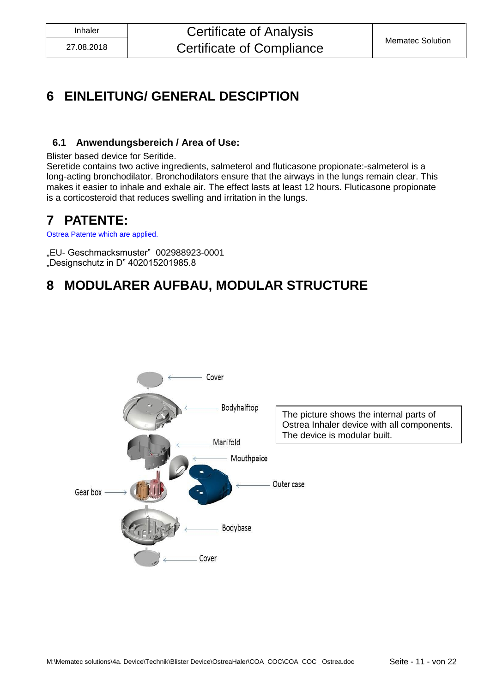### <span id="page-10-0"></span>**6 EINLEITUNG/ GENERAL DESCIPTION**

### <span id="page-10-1"></span>**6.1 Anwendungsbereich / Area of Use:**

Blister based device for Seritide.

Seretide contains two active ingredients, salmeterol and fluticasone propionate:-salmeterol is a long-acting bronchodilator. Bronchodilators ensure that the airways in the lungs remain clear. This makes it easier to inhale and exhale air. The effect lasts at least 12 hours. Fluticasone propionate is a corticosteroid that reduces swelling and irritation in the lungs.

### <span id="page-10-2"></span>**7 PATENTE:**

Ostrea Patente which are applied.

"EU- Geschmacksmuster" 002988923-0001 "Designschutz in D" 402015201985.8

### <span id="page-10-3"></span>**8 MODULARER AUFBAU, MODULAR STRUCTURE**

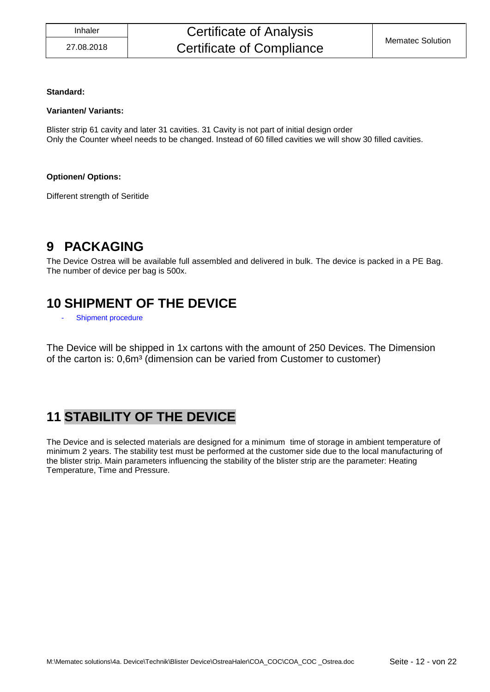#### **Standard:**

#### **Varianten/ Variants:**

Blister strip 61 cavity and later 31 cavities. 31 Cavity is not part of initial design order Only the Counter wheel needs to be changed. Instead of 60 filled cavities we will show 30 filled cavities.

#### **Optionen/ Options:**

Different strength of Seritide

### <span id="page-11-0"></span>**9 PACKAGING**

The Device Ostrea will be available full assembled and delivered in bulk. The device is packed in a PE Bag. The number of device per bag is 500x.

### <span id="page-11-1"></span>**10 SHIPMENT OF THE DEVICE**

Shipment procedure

The Device will be shipped in 1x cartons with the amount of 250 Devices. The Dimension of the carton is: 0,6m<sup>3</sup> (dimension can be varied from Customer to customer)

### <span id="page-11-2"></span>**11 STABILITY OF THE DEVICE**

The Device and is selected materials are designed for a minimum time of storage in ambient temperature of minimum 2 years. The stability test must be performed at the customer side due to the local manufacturing of the blister strip. Main parameters influencing the stability of the blister strip are the parameter: Heating Temperature, Time and Pressure.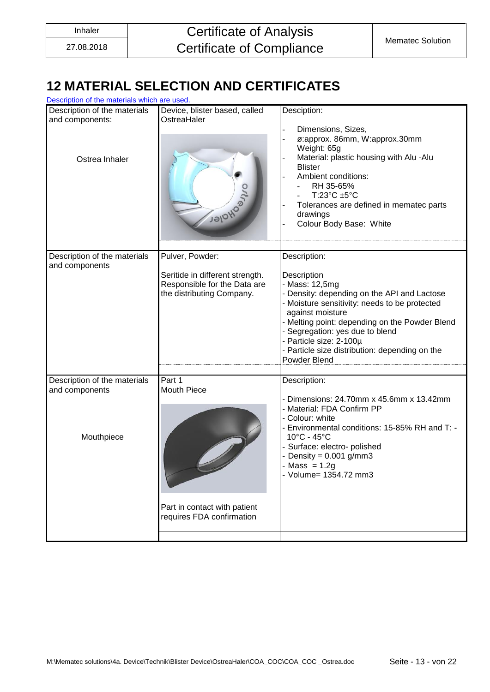## <span id="page-12-0"></span>**12 MATERIAL SELECTION AND CERTIFICATES**

| Description of the materials which are used.                      |                                                                                                                 |                                                                                                                                                                                                                                                                                                                                                     |
|-------------------------------------------------------------------|-----------------------------------------------------------------------------------------------------------------|-----------------------------------------------------------------------------------------------------------------------------------------------------------------------------------------------------------------------------------------------------------------------------------------------------------------------------------------------------|
| Description of the materials<br>and components:<br>Ostrea Inhaler | Device, blister based, called<br>OstreaHaler<br>Jalonger                                                        | Desciption:<br>Dimensions, Sizes,<br>ø:approx. 86mm, W:approx.30mm<br>Weight: 65g<br>Material: plastic housing with Alu -Alu<br><b>Blister</b><br>Ambient conditions:<br>RH 35-65%<br>T:23°C ±5°C<br>Tolerances are defined in mematec parts<br>drawings<br>Colour Body Base: White                                                                 |
|                                                                   |                                                                                                                 |                                                                                                                                                                                                                                                                                                                                                     |
| Description of the materials<br>and components                    | Pulver, Powder:<br>Seritide in different strength.<br>Responsible for the Data are<br>the distributing Company. | Description:<br>Description<br>- Mass: 12,5mg<br>- Density: depending on the API and Lactose<br>- Moisture sensitivity: needs to be protected<br>against moisture<br>- Melting point: depending on the Powder Blend<br>- Segregation: yes due to blend<br>- Particle size: 2-100µ<br>- Particle size distribution: depending on the<br>Powder Blend |
| Description of the materials<br>and components<br>Mouthpiece      | Part 1<br><b>Mouth Piece</b><br>Part in contact with patient<br>requires FDA confirmation                       | Description:<br>Dimensions: 24.70mm x 45.6mm x 13.42mm<br>- Material: FDA Confirm PP<br>- Colour: white<br>- Environmental conditions: 15-85% RH and T: -<br>10°C - 45°C<br>Surface: electro- polished<br>Density = $0.001$ g/mm3<br>$Mass = 1.2g$<br>- Volume= 1354.72 mm3                                                                         |
|                                                                   |                                                                                                                 |                                                                                                                                                                                                                                                                                                                                                     |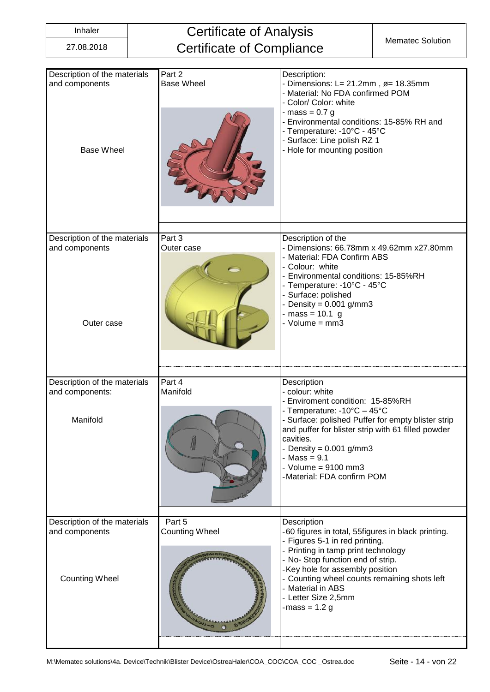## Inhaler **Certificate of Analysis** Certificate of Compliance Mematec Solution

| Description of the materials<br>and components<br><b>Base Wheel</b> | Part 2<br><b>Base Wheel</b> | Description:<br>- Dimensions: $L = 21.2$ mm, $\varnothing = 18.35$ mm<br>- Material: No FDA confirmed POM<br>- Color/ Color: white<br>- mass = $0.7$ g<br>- Environmental conditions: 15-85% RH and<br>- Temperature: - 10°C - 45°C<br>- Surface: Line polish RZ 1<br>- Hole for mounting position                              |
|---------------------------------------------------------------------|-----------------------------|---------------------------------------------------------------------------------------------------------------------------------------------------------------------------------------------------------------------------------------------------------------------------------------------------------------------------------|
| Description of the materials<br>and components<br>Outer case        | Part 3<br>Outer case        | Description of the<br>- Dimensions: 66.78mm x 49.62mm x27.80mm<br>- Material: FDA Confirm ABS<br>- Colour: white<br>Environmental conditions: 15-85%RH<br>- Temperature: -10°C - 45°C<br>- Surface: polished<br>Density = $0.001$ g/mm3<br>$-mass = 10.1 g$<br>- $Volume = mm3$                                                 |
| Description of the materials<br>and components:<br>Manifold         | Part 4<br>Manifold          | Description<br>- colour: white<br>- Enviroment condition: 15-85%RH<br>- Temperature: -10°C - 45°C<br>- Surface: polished Puffer for empty blister strip<br>and puffer for blister strip with 61 filled powder<br>cavities.<br>- Density = $0.001$ g/mm3<br>$-Mass = 9.1$<br>- Volume = $9100$ mm3<br>-Material: FDA confirm POM |
| Description of the materials                                        | Part 5                      | Description                                                                                                                                                                                                                                                                                                                     |
| and components<br><b>Counting Wheel</b>                             | <b>Counting Wheel</b>       | -60 figures in total, 55figures in black printing.<br>- Figures 5-1 in red printing.<br>- Printing in tamp print technology<br>- No-Stop function end of strip.<br>-Key hole for assembly position<br>- Counting wheel counts remaining shots left<br>- Material in ABS<br>- Letter Size 2,5mm<br>-mass = $1.2 g$               |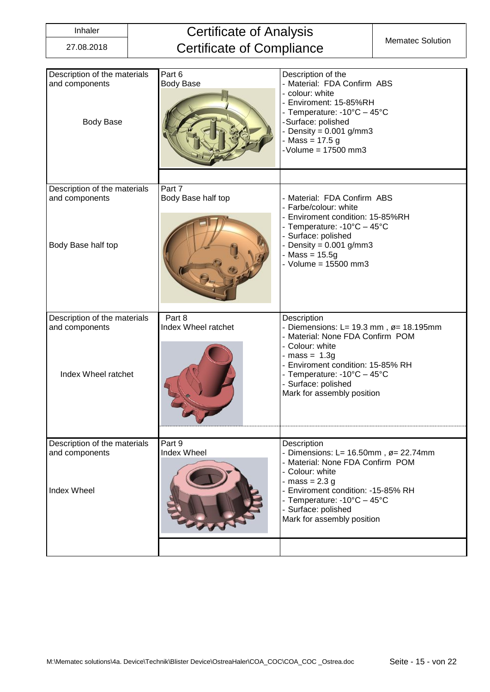## Inhaler **Certificate of Analysis** Certificate of Compliance Mematec Solution

| Description of the materials<br>and components<br><b>Body Base</b>    | Part 6<br><b>Body Base</b>    | Description of the<br>- Material: FDA Confirm ABS<br>- colour: white<br>- Enviroment: 15-85%RH<br>- Temperature: -10°C - 45°C<br>-Surface: polished<br>Density = $0.001$ g/mm3<br>$-Mass = 17.5 g$<br>- Volume = 17500 mm3                                            |
|-----------------------------------------------------------------------|-------------------------------|-----------------------------------------------------------------------------------------------------------------------------------------------------------------------------------------------------------------------------------------------------------------------|
| Description of the materials<br>and components<br>Body Base half top  | Part 7<br>Body Base half top  | - Material: FDA Confirm ABS<br>- Farbe/colour: white<br>Enviroment condition: 15-85%RH<br>- Temperature: -10°C - 45°C<br>Surface: polished<br>Density = $0.001$ g/mm3<br>$-Mass = 15.5g$<br>- Volume = $15500$ mm3                                                    |
| Description of the materials<br>and components<br>Index Wheel ratchet | Part 8<br>Index Wheel ratchet | Description<br>- Diemensions: L= 19.3 mm, $\varnothing$ = 18.195mm<br>- Material: None FDA Confirm POM<br>- Colour: white<br>- mass = $1.3g$<br>- Enviroment condition: 15-85% RH<br>- Temperature: -10°C - 45°C<br>- Surface: polished<br>Mark for assembly position |
| Description of the materials<br>and components<br><b>Index Wheel</b>  | Part 9<br>Index Wheel         | Description<br>- Dimensions: L= $16.50$ mm, $\varnothing$ = 22.74mm<br>- Material: None FDA Confirm POM<br>- Colour: white<br>$-mass = 2.3 g$<br>Enviroment condition: -15-85% RH<br>- Temperature: -10°C - 45°C<br>- Surface: polished<br>Mark for assembly position |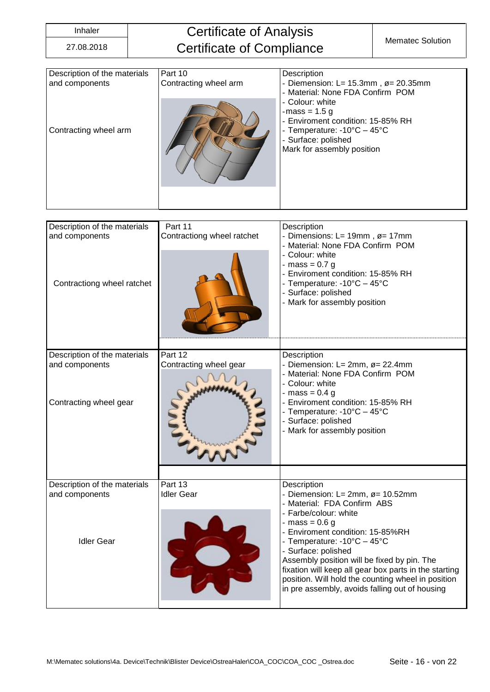Description of the materials

Idler Gear

and components

### Inhaler **Certificate of Analysis** Certificate of Compliance Mematec Solution

| Description of the materials | Part 10                    | Description                                                        |
|------------------------------|----------------------------|--------------------------------------------------------------------|
| and components               | Contracting wheel arm      | - Diemension: L= $15.3$ mm, $\varnothing$ = 20.35mm                |
|                              |                            | - Material: None FDA Confirm POM                                   |
|                              |                            | - Colour: white<br>-mass = $1.5 g$                                 |
|                              |                            | - Enviroment condition: 15-85% RH                                  |
| Contracting wheel arm        |                            | - Temperature: -10°C - 45°C                                        |
|                              |                            | - Surface: polished                                                |
|                              |                            | Mark for assembly position                                         |
|                              |                            |                                                                    |
|                              |                            |                                                                    |
|                              |                            |                                                                    |
|                              |                            |                                                                    |
|                              |                            |                                                                    |
|                              |                            |                                                                    |
| Description of the materials | Part 11                    | Description                                                        |
| and components               | Contractiong wheel ratchet | - Dimensions: L= 19mm, ø= 17mm<br>- Material: None FDA Confirm POM |
|                              |                            | - Colour: white                                                    |
|                              |                            | - mass = $0.7 g$                                                   |
|                              |                            | - Enviroment condition: 15-85% RH                                  |
| Contractiong wheel ratchet   |                            | - Temperature: -10°C - 45°C                                        |
|                              |                            | - Surface: polished                                                |
|                              |                            | - Mark for assembly position                                       |
|                              |                            |                                                                    |
|                              |                            |                                                                    |
|                              |                            |                                                                    |
| Description of the materials | Part 12                    | Description                                                        |
| and components               | Contracting wheel gear     | - Diemension: L= 2mm, $\varnothing$ = 22.4mm                       |
|                              |                            | - Material: None FDA Confirm POM                                   |
|                              |                            | - Colour: white                                                    |
|                              |                            | - mass = $0.4$ g                                                   |
| Contracting wheel gear       |                            | - Enviroment condition: 15-85% RH                                  |

- Temperature: -10°C – 45°C

- Mark for assembly position

- Diemension: L= 2mm, ø= 10.52mm - Material: FDA Confirm ABS

- Enviroment condition: 15-85%RH - Temperature: -10°C – 45°C

Assembly position will be fixed by pin. The fixation will keep all gear box parts in the starting position. Will hold the counting wheel in position in pre assembly, avoids falling out of housing

- Surface: polished

- Farbe/colour: white  $-$  mass = 0.6 g

- Surface: polished

**Description** 

Part 13 Idler Gear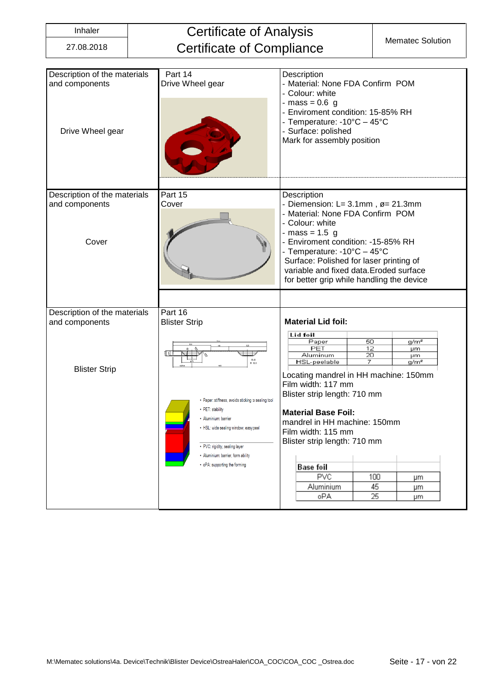|  | ۳<br>г.<br>× | × |  |
|--|--------------|---|--|
|  |              |   |  |

# **Certificate of Analysis** Certificate of Compliance Mematec Solution

| Description of the materials<br>and components<br>Drive Wheel gear | Part 14<br>Drive Wheel gear                                                                                                                                            | Description<br>- Material: None FDA Confirm POM<br>- Colour: white<br>- mass = $0.6$ g<br>- Enviroment condition: 15-85% RH<br>- Temperature: -10°C - 45°C<br>- Surface: polished<br>Mark for assembly position                                                                                                                                     |
|--------------------------------------------------------------------|------------------------------------------------------------------------------------------------------------------------------------------------------------------------|-----------------------------------------------------------------------------------------------------------------------------------------------------------------------------------------------------------------------------------------------------------------------------------------------------------------------------------------------------|
| Description of the materials<br>and components<br>Cover            | Part 15<br>Cover                                                                                                                                                       | Description<br>- Diemension: L= $3.1$ mm, $\varnothing$ = 21.3mm<br>- Material: None FDA Confirm POM<br>- Colour: white<br>- mass = $1.5$ g<br>- Enviroment condition: -15-85% RH<br>- Temperature: -10°C - 45°C<br>Surface: Polished for laser printing of<br>variable and fixed data. Eroded surface<br>for better grip while handling the device |
| Description of the materials<br>and components                     | Part 16<br><b>Blister Strip</b>                                                                                                                                        | <b>Material Lid foil:</b>                                                                                                                                                                                                                                                                                                                           |
| <b>Blister Strip</b>                                               | 회의 [<br>B-B<br>M 10:1<br>• Paper: stiffness, avoids sticking to sealing tool<br>• PET: stability                                                                       | Lid foil<br>50<br>Paper<br>g/m <sup>2</sup><br>PET<br>12<br>µm<br>Aluminum<br>20<br>μm<br>7<br><b>HSL-peelable</b><br>g/m <sup>2</sup><br>Locating mandrel in HH machine: 150mm<br>Film width: 117 mm<br>Blister strip length: 710 mm                                                                                                               |
|                                                                    | · Aluminium: barrier<br>• HSL: wide sealing window, easy peel<br>• PVC: rigidity, sealing layer<br>· Aluminium: barrier, form ability<br>• oPA: supporting the forming | <b>Material Base Foil:</b><br>mandrel in HH machine: 150mm<br>Film width: 115 mm<br>Blister strip length: 710 mm<br>Base foil<br><b>PVC</b><br>100<br>μm<br>45<br>Aluminium<br>μm<br>oPA<br>25<br>μm                                                                                                                                                |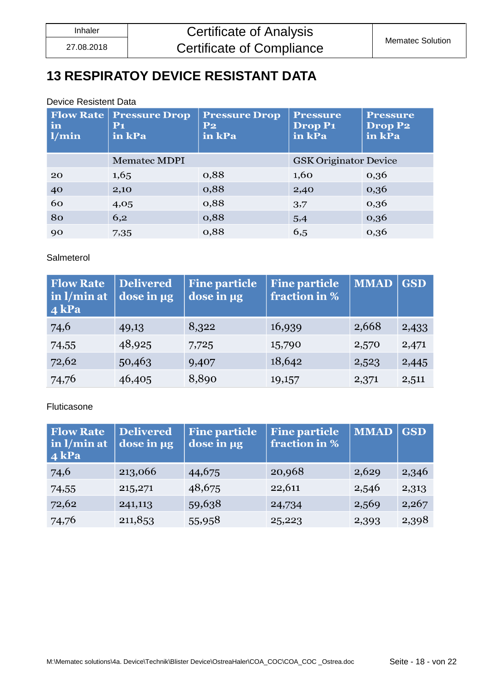### <span id="page-17-0"></span>**13 RESPIRATOY DEVICE RESISTANT DATA**

#### Device Resistent Data

| <b>Flow Rate</b><br>in<br>1/min | <b>Pressure Drop</b><br>$P_1$<br>in kPa | <b>Pressure Drop</b><br>$P_{2}$<br>in kPa | <b>Pressure</b><br>Drop P <sub>1</sub><br>in kPa | <b>Pressure</b><br><b>Drop P2</b><br>in kPa |
|---------------------------------|-----------------------------------------|-------------------------------------------|--------------------------------------------------|---------------------------------------------|
|                                 | <b>Mematec MDPI</b>                     |                                           | <b>GSK Originator Device</b>                     |                                             |
| 20                              | 1,65                                    | 0,88                                      | 1,60                                             | 0,36                                        |
| 40                              | 2,10                                    | 0,88                                      | 2,40                                             | 0,36                                        |
| 60                              | 4,05                                    | 0,88                                      | 3,7                                              | 0,36                                        |
| 80                              | 6,2                                     | 0,88                                      | 5,4                                              | 0,36                                        |
| 90                              | 7,35                                    | 0,88                                      | 6,5                                              | 0,36                                        |

#### Salmeterol

| <b>Flow Rate</b><br>in l/min at<br>4 kPa | <b>Delivered</b><br>dose in ug | <b>Fine particle</b><br>dose in µg | <b>Fine particle</b><br>fraction in % | <b>MMAD</b> | $\vert$ GSD |
|------------------------------------------|--------------------------------|------------------------------------|---------------------------------------|-------------|-------------|
| 74,6                                     | 49,13                          | 8,322                              | 16,939                                | 2,668       | 2,433       |
| 74,55                                    | 48,925                         | 7,725                              | 15,790                                | 2,570       | 2,471       |
| 72,62                                    | 50,463                         | 9,407                              | 18,642                                | 2,523       | 2,445       |
| 74,76                                    | 46,405                         | 8,890                              | 19,157                                | 2,371       | 2,511       |

#### Fluticasone

| <b>Flow Rate</b><br>in $l/min$ at<br>$4$ kPa | <b>Delivered</b><br>dose in µg | <b>Fine particle</b><br>dose in µg | <b>Fine particle</b><br>fraction in % | <b>MMAD</b> | <b>GSD</b> |
|----------------------------------------------|--------------------------------|------------------------------------|---------------------------------------|-------------|------------|
| 74,6                                         | 213,066                        | 44,675                             | 20,968                                | 2,629       | 2,346      |
| 74,55                                        | 215,271                        | 48,675                             | 22,611                                | 2,546       | 2,313      |
| 72,62                                        | 241,113                        | 59,638                             | 24,734                                | 2,569       | 2,267      |
| 74,76                                        | 211,853                        | 55,958                             | 25,223                                | 2,393       | 2,398      |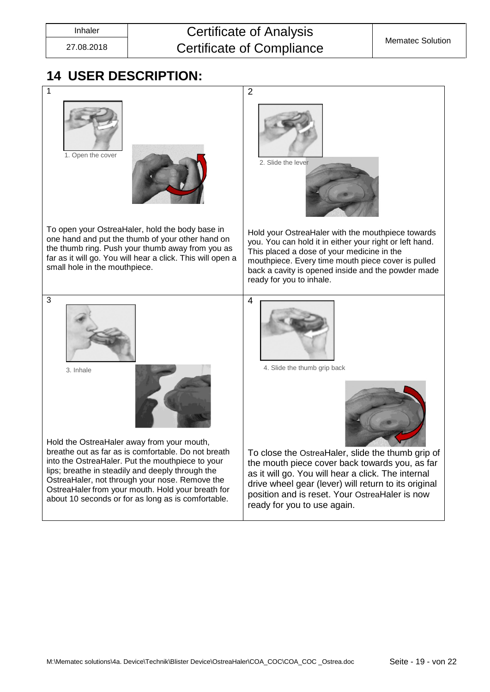## Inhaler **Certificate of Analysis** Certificate of Compliance Mematec Solution

### <span id="page-18-0"></span>**14 USER DESCRIPTION:**

|                                                                                                                                                                                                                                                                                                                                                                        | $\overline{2}$                                                                                                                                                                                                                                                                                     |
|------------------------------------------------------------------------------------------------------------------------------------------------------------------------------------------------------------------------------------------------------------------------------------------------------------------------------------------------------------------------|----------------------------------------------------------------------------------------------------------------------------------------------------------------------------------------------------------------------------------------------------------------------------------------------------|
| 1. Open the cover                                                                                                                                                                                                                                                                                                                                                      | 2. Slide the lever                                                                                                                                                                                                                                                                                 |
| To open your OstreaHaler, hold the body base in<br>one hand and put the thumb of your other hand on<br>the thumb ring. Push your thumb away from you as<br>far as it will go. You will hear a click. This will open a<br>small hole in the mouthpiece.                                                                                                                 | Hold your OstreaHaler with the mouthpiece towards<br>you. You can hold it in either your right or left hand.<br>This placed a dose of your medicine in the<br>mouthpiece. Every time mouth piece cover is pulled<br>back a cavity is opened inside and the powder made<br>ready for you to inhale. |
| 3<br>3. Inhale                                                                                                                                                                                                                                                                                                                                                         | 4<br>4. Slide the thumb grip back                                                                                                                                                                                                                                                                  |
| Hold the OstreaHaler away from your mouth,<br>breathe out as far as is comfortable. Do not breath<br>into the OstreaHaler. Put the mouthpiece to your<br>lips; breathe in steadily and deeply through the<br>OstreaHaler, not through your nose. Remove the<br>OstreaHaler from your mouth. Hold your breath for<br>about 10 seconds or for as long as is comfortable. | To close the OstreaHaler, slide the thumb grip of<br>the mouth piece cover back towards you, as far<br>as it will go. You will hear a click. The internal<br>drive wheel gear (lever) will return to its original<br>position and is reset. Your OstreaHaler is now<br>ready for you to use again. |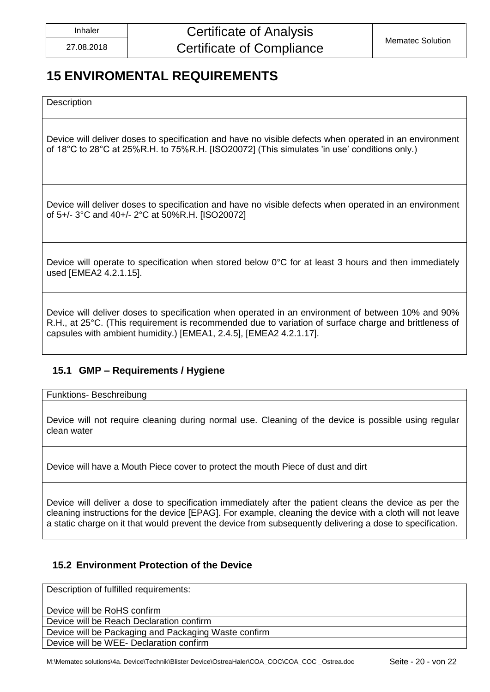### <span id="page-19-0"></span>**15 ENVIROMENTAL REQUIREMENTS**

**Description** 

Device will deliver doses to specification and have no visible defects when operated in an environment of 18°C to 28°C at 25%R.H. to 75%R.H. [ISO20072] (This simulates 'in use' conditions only.)

Device will deliver doses to specification and have no visible defects when operated in an environment of 5+/- 3°C and 40+/- 2°C at 50%R.H. [ISO20072]

Device will operate to specification when stored below 0°C for at least 3 hours and then immediately used [EMEA2 4.2.1.15].

Device will deliver doses to specification when operated in an environment of between 10% and 90% R.H., at 25°C. (This requirement is recommended due to variation of surface charge and brittleness of capsules with ambient humidity.) [EMEA1, 2.4.5], [EMEA2 4.2.1.17].

### <span id="page-19-1"></span>**15.1 GMP – Requirements / Hygiene**

Funktions- Beschreibung

Device will not require cleaning during normal use. Cleaning of the device is possible using regular clean water

Device will have a Mouth Piece cover to protect the mouth Piece of dust and dirt

Device will deliver a dose to specification immediately after the patient cleans the device as per the cleaning instructions for the device [EPAG]. For example, cleaning the device with a cloth will not leave a static charge on it that would prevent the device from subsequently delivering a dose to specification.

### <span id="page-19-2"></span>**15.2 Environment Protection of the Device**

Description of fulfilled requirements:

Device will be RoHS confirm

Device will be Reach Declaration confirm

Device will be Packaging and Packaging Waste confirm

Device will be WEE- Declaration confirm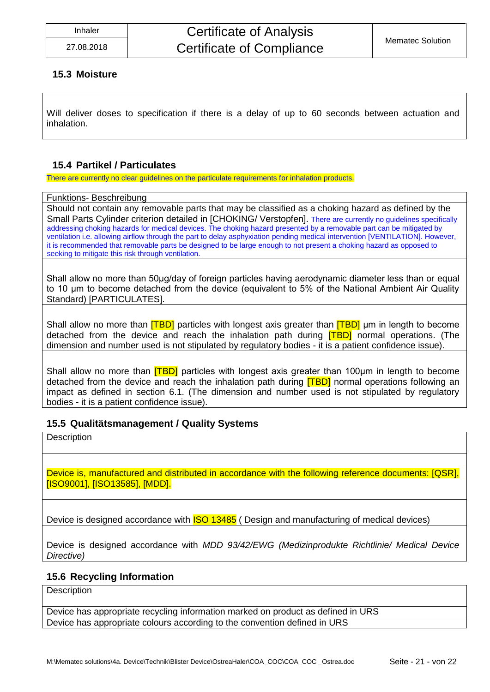#### <span id="page-20-0"></span>**15.3 Moisture**

Will deliver doses to specification if there is a delay of up to 60 seconds between actuation and inhalation.

### <span id="page-20-1"></span>**15.4 Partikel / Particulates**

There are currently no clear guidelines on the particulate requirements for inhalation products.

#### Funktions- Beschreibung

Should not contain any removable parts that may be classified as a choking hazard as defined by the Small Parts Cylinder criterion detailed in [CHOKING/ Verstopfen]. There are currently no guidelines specifically addressing choking hazards for medical devices. The choking hazard presented by a removable part can be mitigated by ventilation i.e. allowing airflow through the part to delay asphyxiation pending medical intervention [VENTILATION]. However, it is recommended that removable parts be designed to be large enough to not present a choking hazard as opposed to seeking to mitigate this risk through ventilation.

Shall allow no more than 50μg/day of foreign particles having aerodynamic diameter less than or equal to 10 μm to become detached from the device (equivalent to 5% of the National Ambient Air Quality Standard) [PARTICULATES].

Shall allow no more than **[TBD]** particles with longest axis greater than **[TBD]** µm in length to become detached from the device and reach the inhalation path during **[TBD]** normal operations. (The dimension and number used is not stipulated by regulatory bodies - it is a patient confidence issue).

Shall allow no more than [TBD] particles with longest axis greater than 100μm in length to become detached from the device and reach the inhalation path during **[TBD]** normal operations following an impact as defined in section 6.1. (The dimension and number used is not stipulated by regulatory bodies - it is a patient confidence issue).

#### <span id="page-20-2"></span>**15.5 Qualitätsmanagement / Quality Systems**

**Description** 

Device is, manufactured and distributed in accordance with the following reference documents: [QSR], [ISO9001], [ISO13585], [MDD].

Device is designed accordance with **ISO 13485** (Design and manufacturing of medical devices)

Device is designed accordance with *MDD 93/42/EWG (Medizinprodukte Richtlinie/ Medical Device Directive)*

#### <span id="page-20-3"></span>**15.6 Recycling Information**

**Description** 

Device has appropriate recycling information marked on product as defined in URS Device has appropriate colours according to the convention defined in URS